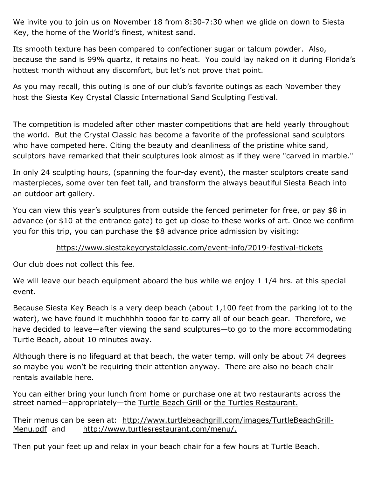We invite you to join us on November 18 from 8:30-7:30 when we glide on down to Siesta Key, the home of the World's finest, whitest sand.

Its smooth texture has been compared to confectioner sugar or talcum powder. Also, because the sand is 99% quartz, it retains no heat. You could lay naked on it during Florida's hottest month without any discomfort, but let's not prove that point.

As you may recall, this outing is one of our club's favorite outings as each November they host the Siesta Key Crystal Classic International Sand Sculpting Festival.

The competition is modeled after other master competitions that are held yearly throughout the world. But the Crystal Classic has become a favorite of the professional sand sculptors who have competed here. Citing the beauty and cleanliness of the pristine white sand, sculptors have remarked that their sculptures look almost as if they were "carved in marble."

In only 24 sculpting hours, (spanning the four-day event), the master sculptors create sand masterpieces, some over ten feet tall, and transform the always beautiful Siesta Beach into an outdoor art gallery.

You can view this year's sculptures from outside the fenced perimeter for free, or pay \$8 in advance (or \$10 at the entrance gate) to get up close to these works of art. Once we confirm you for this trip, you can purchase the \$8 advance price admission by visiting:

## <https://www.siestakeycrystalclassic.com/event-info/2019-festival-tickets>

Our club does not collect this fee.

We will leave our beach equipment aboard the bus while we enjoy 1 1/4 hrs. at this special event.

Because Siesta Key Beach is a very deep beach (about 1,100 feet from the parking lot to the water), we have found it muchhhhh toooo far to carry all of our beach gear. Therefore, we have decided to leave—after viewing the sand sculptures—to go to the more accommodating Turtle Beach, about 10 minutes away.

Although there is no lifeguard at that beach, the water temp. will only be about 74 degrees so maybe you won't be requiring their attention anyway. There are also no beach chair rentals available here.

You can either bring your lunch from home or purchase one at two restaurants across the street named—appropriately—the Turtle Beach Grill or the Turtles Restaurant.

Their menus can be seen at: [http://www.turtlebeachgrill.com/images/TurtleBeachGrill-](http://www.turtlebeachgrill.com/images/TurtleBeachGrill-Menu.pdf)[Menu.pdf](http://www.turtlebeachgrill.com/images/TurtleBeachGrill-Menu.pdf) and [http://www.turtlesrestaurant.com/menu/.](http://www.turtlesrestaurant.com/menu/)

Then put your feet up and relax in your beach chair for a few hours at Turtle Beach.